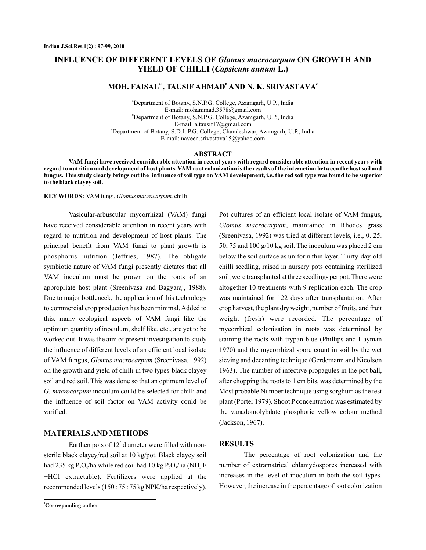# **INFLUENCE OF DIFFERENT LEVELS OF Glomus macrocarpum ON GROWTH AND YIELD OF CHILLI (Capsicum annum L.)**

## **MOH. FAISAL , TAUSIF AHMAD AND N. K. SRIVASTAVA a1 b <sup>c</sup>**

a Department of Botany, S.N.P.G. College, Azamgarh, U.P., India b Department of Botany, S.N.P.G. College, Azamgarh, U.P., India c Department of Botany, S.D.J. P.G. College, Chandeshwar, Azamgarh, U.P., India E-mail: mohammad.3578@gmail.com E-mail: a.tausif17@gmail.com E-mail: naveen.srivastava15@yahoo.com

#### **ABSTRACT**

**VAM fungi have received considerable attention in recent years with regard considerable attention in recent years with regard to nutrition and development of host plants. VAM root colonization is the results of the interaction between the host soil and fungus. This study clearly brings out the influence of soil type on VAM development, i.e. the red soil type was found to be superior to the black clayey soil.**

**KEY WORDS:** VAM fungi, Glomus macrocarpum, chilli

Vasicular-arbuscular mycorrhizal (VAM) fungi have received considerable attention in recent years with regard to nutrition and development of host plants. The principal benefit from VAM fungi to plant growth is phosphorus nutrition (Jeffries, 1987). The obligate symbiotic nature of VAM fungi presently dictates that all VAM inoculum must be grown on the roots of an appropriate host plant (Sreenivasa and Bagyaraj, 1988). Due to major bottleneck, the application of this technology to commercial crop production has been minimal. Added to this, many ecological aspects of VAM fungi like the optimum quantity of inoculum, shelf like, etc., are yet to be worked out. It was the aim of present investigation to study the influence of different levels of an efficient local isolate of VAM fungus, Glomus macrocarpum (Sreenivasa, 1992) on the growth and yield of chilli in two types-black clayey soil and red soil. This was done so that an optimum level of G. macrocarpum inoculum could be selected for chilli and the influence of soil factor on VAM activity could be varified.

### **MATERIALS AND METHODS**

Earthen pots of  $12$ <sup> $\degree$ </sup> diameter were filled with nonsterile black clayey/red soil at 10 kg/pot. Black clayey soil had 235 kg P<sub>2</sub>O<sub>s</sub>/ha while red soil had 10 kg P<sub>2</sub>O<sub>s</sub>/ha (NH<sub>4</sub> F +HCI extractable). Fertilizers were applied at the recommended levels (150 : 75 : 75 kg NPK/ha respectively).

Pot cultures of an efficient local isolate of VAM fungus, Glomus macrocarpum, maintained in Rhodes grass (Sreenivasa, 1992) was tried at different levels, i.e., 0. 25. 50, 75 and 100 g/10 kg soil. The inoculum was placed 2 cm below the soil surface as uniform thin layer. Thirty-day-old chilli seedling, raised in nursery pots containing sterilized soil, were transplanted at three seedlings per pot. There were altogether 10 treatments with 9 replication each. The crop was maintained for 122 days after transplantation. After crop harvest, the plant dry weight, number of fruits, and fruit weight (fresh) were recorded. The percentage of mycorrhizal colonization in roots was determined by staining the roots with trypan blue (Phillips and Hayman 1970) and the mycorrhizal spore count in soil by the wet sieving and decanting technique (Gerdemann and Nicolson 1963). The number of infective propagules in the pot ball, after chopping the roots to 1 cm bits, was determined by the Most probable Number technique using sorghum as the test plant (Porter 1979). Shoot P concentration was estimated by the vanadomolybdate phosphoric yellow colour method (Jackson, 1967).

#### **RESULTS**

The percentage of root colonization and the number of extramatrical chlamydospores increased with increases in the level of inoculum in both the soil types. However, the increase in the percentage of root colonization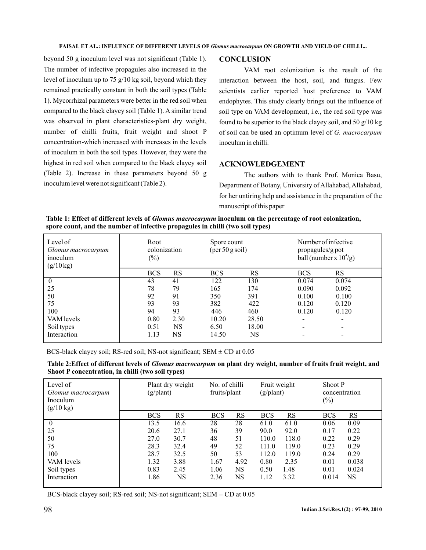beyond 50 g inoculum level was not significant (Table 1). The number of infective propagules also increased in the level of inoculum up to 75 g/10 kg soil, beyond which they remained practically constant in both the soil types (Table 1). Mycorrhizal parameters were better in the red soil when compared to the black clayey soil (Table 1). A similar trend was observed in plant characteristics-plant dry weight, number of chilli fruits, fruit weight and shoot P concentration-which increased with increases in the levels of inoculum in both the soil types. However, they were the highest in red soil when compared to the black clayey soil (Table 2). Increase in these parameters beyond 50 g inoculum level were not significant (Table 2).

# **CONCLUSION**

VAM root colonization is the result of the interaction between the host, soil, and fungus. Few scientists earlier reported host preference to VAM endophytes. This study clearly brings out the influence of soil type on VAM development, i.e., the red soil type was found to be superior to the black clayey soil, and 50 g/10 kg of soil can be used an optimum level of *G. macrocarpum* inoculum in chilli.

# **ACKNOWLEDGEMENT**

The authors with to thank Prof. Monica Basu, Department of Botany, University of Allahabad, Allahabad, for her untiring help and assistance in the preparation of the manuscript of this paper

Table 1: Effect of different levels of *Glomus macrocarpum* inoculum on the percentage of root colonization, **spore count, and the number of infective propagules in chilli (two soil types)**

| Level of<br>Glomus macrocarpum<br>inoculum<br>$(g/10 \text{ kg})$ | Root<br>colonization<br>$(\%)$ |           | Spore count<br>$(\text{per }50 \text{ g soil})$ |       | Number of infective<br>propagules/g pot<br>ball (number x $10^4$ /g) |       |  |
|-------------------------------------------------------------------|--------------------------------|-----------|-------------------------------------------------|-------|----------------------------------------------------------------------|-------|--|
|                                                                   | <b>BCS</b>                     | RS        | <b>BCS</b>                                      | RS    | <b>BCS</b>                                                           | RS    |  |
| $\theta$                                                          | 43                             | 41        | 122                                             | 130   | 0.074                                                                | 0.074 |  |
| 25                                                                | 78                             | 79        | 165                                             | 174   | 0.090                                                                | 0.092 |  |
| 50                                                                | 92                             | 91        | 350                                             | 391   | 0.100                                                                | 0.100 |  |
| 75                                                                | 93                             | 93        | 382                                             | 422   | 0.120                                                                | 0.120 |  |
| 100                                                               | 94                             | 93        | 446                                             | 460   | 0.120                                                                | 0.120 |  |
| VAM levels                                                        | 0.80                           | 2.30      | 10.20                                           | 28.50 | $\overline{\phantom{a}}$                                             | -     |  |
| Soil types                                                        | 0.51                           | <b>NS</b> | 6.50                                            | 18.00 | $\overline{\phantom{a}}$                                             |       |  |
| Interaction                                                       | 1.13                           | NS        | 14.50                                           | NS    | $\qquad \qquad \blacksquare$                                         |       |  |

BCS-black clayey soil; RS-red soil; NS-not significant; SEM  $\pm$  CD at 0.05

Table 2:Effect of different levels of *Glomus macrocarpum* on plant dry weight, number of fruits fruit weight, and **Shoot P concentration, in chilli (two soil types)**

| Level of<br>Glomus macrocarpum<br>Inoculum<br>$(g/10 \text{ kg})$ | Plant dry weight<br>$(g/\text{plant})$ |           | No. of chilli<br>fruits/plant |      | Fruit weight<br>$(g/\text{plant})$ |       | $(\%)$     | Shoot P<br>concentration |  |
|-------------------------------------------------------------------|----------------------------------------|-----------|-------------------------------|------|------------------------------------|-------|------------|--------------------------|--|
|                                                                   | <b>BCS</b>                             | <b>RS</b> | <b>BCS</b>                    | RS   | <b>BCS</b>                         | RS    | <b>BCS</b> | <b>RS</b>                |  |
| $\mathbf{0}$                                                      | 13.5                                   | 16.6      | 28                            | 28   | 61.0                               | 61.0  | 0.06       | 0.09                     |  |
| 25                                                                | 20.6                                   | 27.1      | 36                            | 39   | 90.0                               | 92.0  | 0.17       | 0.22                     |  |
| 50                                                                | 27.0                                   | 30.7      | 48                            | 51   | 110.0                              | 118.0 | 0.22       | 0.29                     |  |
| 75                                                                | 28.3                                   | 32.4      | 49                            | 52   | 111.0                              | 119.0 | 0.23       | 0.29                     |  |
| 100                                                               | 28.7                                   | 32.5      | 50                            | 53   | 112.0                              | 119.0 | 0.24       | 0.29                     |  |
| VAM levels                                                        | 1.32                                   | 3.88      | 1.67                          | 4.92 | 0.80                               | 2.35  | 0.01       | 0.038                    |  |
| Soil types                                                        | 0.83                                   | 2.45      | 1.06                          | NS   | 0.50                               | 1.48  | 0.01       | 0.024                    |  |
| Interaction                                                       | 1.86                                   | <b>NS</b> | 2.36                          | NS   | 1.12                               | 3.32  | 0.014      | NS                       |  |
|                                                                   |                                        |           |                               |      |                                    |       |            |                          |  |

BCS-black clayey soil; RS-red soil; NS-not significant; SEM  $\pm$  CD at 0.05